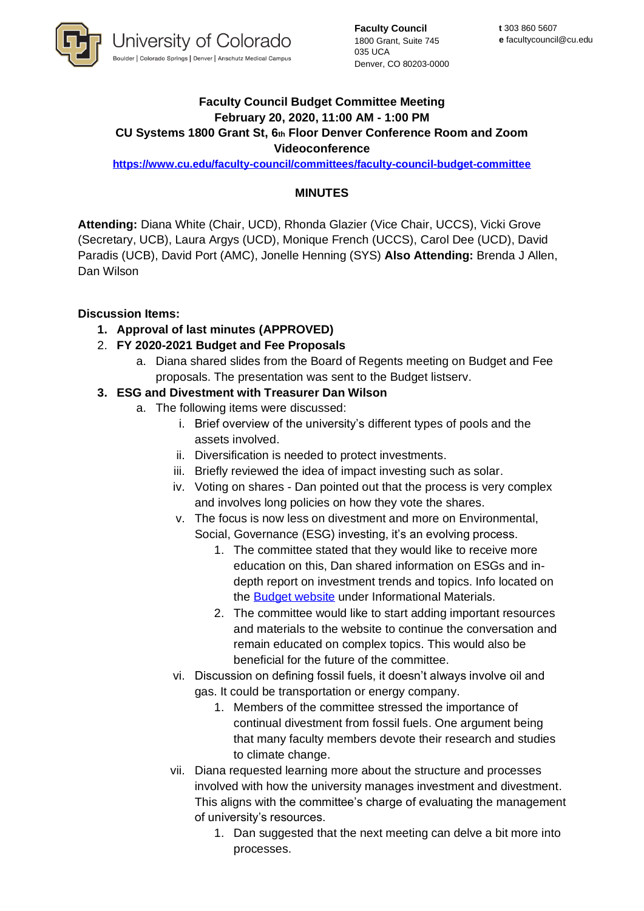

**Faculty Council** 1800 Grant, Suite 745 035 UCA Denver, CO 80203-0000

# **Faculty Council Budget Committee Meeting February 20, 2020, 11:00 AM - 1:00 PM CU Systems 1800 Grant St, 6th Floor Denver Conference Room and Zoom Videoconference**

**<https://www.cu.edu/faculty-council/committees/faculty-council-budget-committee>**

## **MINUTES**

**Attending:** Diana White (Chair, UCD), Rhonda Glazier (Vice Chair, UCCS), Vicki Grove (Secretary, UCB), Laura Argys (UCD), Monique French (UCCS), Carol Dee (UCD), David Paradis (UCB), David Port (AMC), Jonelle Henning (SYS) **Also Attending:** Brenda J Allen, Dan Wilson

### **Discussion Items:**

- **1. Approval of last minutes (APPROVED)**
- 2. **FY 2020-2021 Budget and Fee Proposals** 
	- a. Diana shared slides from the Board of Regents meeting on Budget and Fee proposals. The presentation was sent to the Budget listserv.

### **3. ESG and Divestment with Treasurer Dan Wilson**

- a. The following items were discussed:
	- i. Brief overview of the university's different types of pools and the assets involved.
	- ii. Diversification is needed to protect investments.
	- iii. Briefly reviewed the idea of impact investing such as solar.
	- iv. Voting on shares Dan pointed out that the process is very complex and involves long policies on how they vote the shares.
	- v. The focus is now less on divestment and more on Environmental, Social, Governance (ESG) investing, it's an evolving process.
		- 1. The committee stated that they would like to receive more education on this, Dan shared information on ESGs and indepth report on investment trends and topics. Info located on the **Budget website** under Informational Materials.
		- 2. The committee would like to start adding important resources and materials to the website to continue the conversation and remain educated on complex topics. This would also be beneficial for the future of the committee.
	- vi. Discussion on defining fossil fuels, it doesn't always involve oil and gas. It could be transportation or energy company.
		- 1. Members of the committee stressed the importance of continual divestment from fossil fuels. One argument being that many faculty members devote their research and studies to climate change.
	- vii. Diana requested learning more about the structure and processes involved with how the university manages investment and divestment. This aligns with the committee's charge of evaluating the management of university's resources.
		- 1. Dan suggested that the next meeting can delve a bit more into processes.